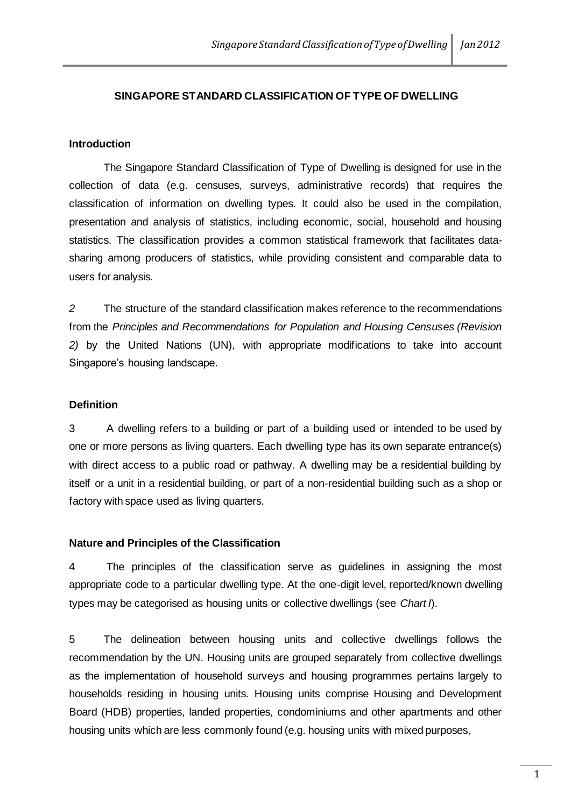## **SINGAPORE STANDARD CLASSIFICATION OF TYPE OF DWELLING**

## **Introduction**

The Singapore Standard Classification of Type of Dwelling is designed for use in the collection of data (e.g. censuses, surveys, administrative records) that requires the classification of information on dwelling types. It could also be used in the compilation, presentation and analysis of statistics, including economic, social, household and housing statistics. The classification provides a common statistical framework that facilitates datasharing among producers of statistics, while providing consistent and comparable data to users for analysis.

*2* The structure of the standard classification makes reference to the recommendations from the *Principles and Recommendations for Population and Housing Censuses (Revision 2)* by the United Nations (UN), with appropriate modifications to take into account Singapore's housing landscape.

### **Definition**

3 A dwelling refers to a building or part of a building used or intended to be used by one or more persons as living quarters. Each dwelling type has its own separate entrance(s) with direct access to a public road or pathway. A dwelling may be a residential building by itself or a unit in a residential building, or part of a non-residential building such as a shop or factory with space used as living quarters.

#### **Nature and Principles of the Classification**

4 The principles of the classification serve as guidelines in assigning the most appropriate code to a particular dwelling type. At the one-digit level, reported/known dwelling types may be categorised as housing units or collective dwellings (see *Chart I*).

5 The delineation between housing units and collective dwellings follows the recommendation by the UN. Housing units are grouped separately from collective dwellings as the implementation of household surveys and housing programmes pertains largely to households residing in housing units. Housing units comprise Housing and Development Board (HDB) properties, landed properties, condominiums and other apartments and other housing units which are less commonly found (e.g. housing units with mixed purposes,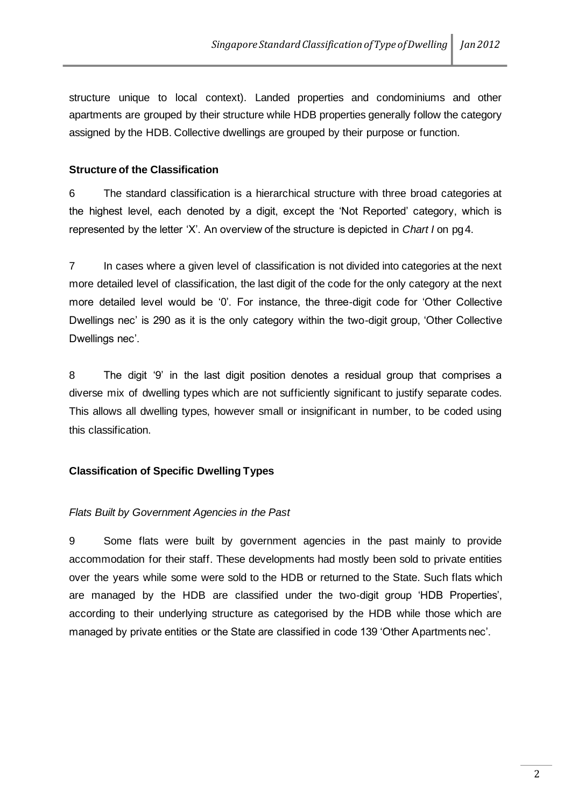structure unique to local context). Landed properties and condominiums and other apartments are grouped by their structure while HDB properties generally follow the category assigned by the HDB. Collective dwellings are grouped by their purpose or function.

## **Structure of the Classification**

6 The standard classification is a hierarchical structure with three broad categories at the highest level, each denoted by a digit, except the 'Not Reported' category, which is represented by the letter 'X'. An overview of the structure is depicted in *Chart I* on pg4.

7 In cases where a given level of classification is not divided into categories at the next more detailed level of classification, the last digit of the code for the only category at the next more detailed level would be '0'. For instance, the three-digit code for 'Other Collective Dwellings nec' is 290 as it is the only category within the two-digit group, 'Other Collective Dwellings nec'.

8 The digit '9' in the last digit position denotes a residual group that comprises a diverse mix of dwelling types which are not sufficiently significant to justify separate codes. This allows all dwelling types, however small or insignificant in number, to be coded using this classification.

## **Classification of Specific Dwelling Types**

## *Flats Built by Government Agencies in the Past*

9 Some flats were built by government agencies in the past mainly to provide accommodation for their staff. These developments had mostly been sold to private entities over the years while some were sold to the HDB or returned to the State. Such flats which are managed by the HDB are classified under the two-digit group 'HDB Properties', according to their underlying structure as categorised by the HDB while those which are managed by private entities or the State are classified in code 139 'Other Apartments nec'.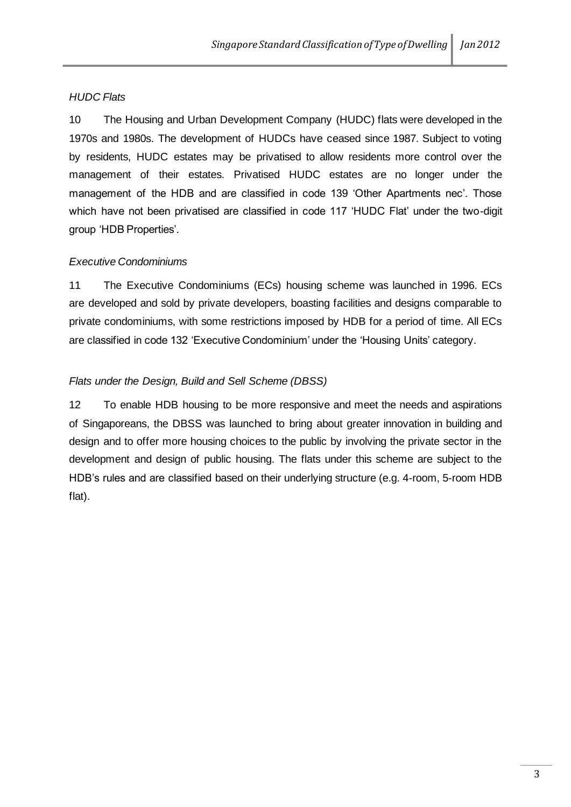## *HUDC Flats*

10 The Housing and Urban Development Company (HUDC) flats were developed in the 1970s and 1980s. The development of HUDCs have ceased since 1987. Subject to voting by residents, HUDC estates may be privatised to allow residents more control over the management of their estates. Privatised HUDC estates are no longer under the management of the HDB and are classified in code 139 'Other Apartments nec'. Those which have not been privatised are classified in code 117 'HUDC Flat' under the two-digit group 'HDB Properties'.

## *Executive Condominiums*

11 The Executive Condominiums (ECs) housing scheme was launched in 1996. ECs are developed and sold by private developers, boasting facilities and designs comparable to private condominiums, with some restrictions imposed by HDB for a period of time. All ECs are classified in code 132 'Executive Condominium' under the 'Housing Units' category.

## *Flats under the Design, Build and Sell Scheme (DBSS)*

12 To enable HDB housing to be more responsive and meet the needs and aspirations of Singaporeans, the DBSS was launched to bring about greater innovation in building and design and to offer more housing choices to the public by involving the private sector in the development and design of public housing. The flats under this scheme are subject to the HDB's rules and are classified based on their underlying structure (e.g. 4-room, 5-room HDB flat).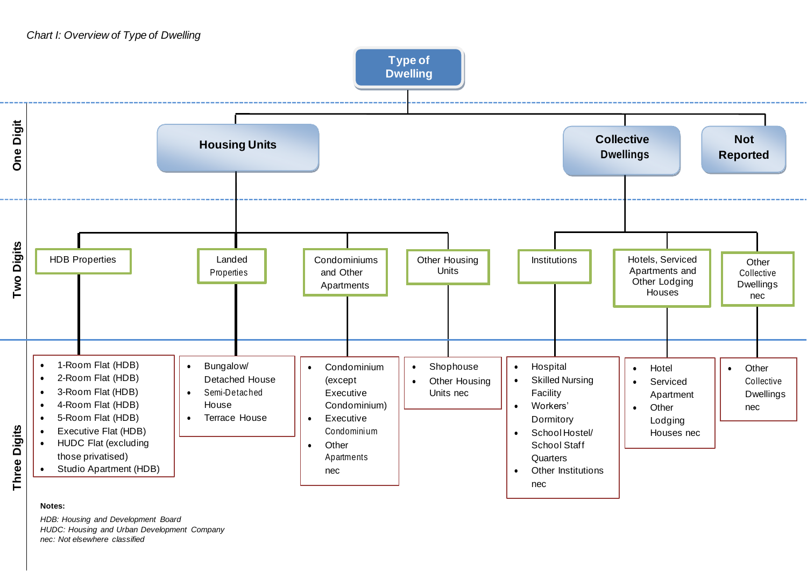## *Chart I: Overview of Type of Dwelling*



#### **Notes:**

*HDB: Housing and Development Board HUDC: Housing and Urban Development Company nec: Not elsewhere classified*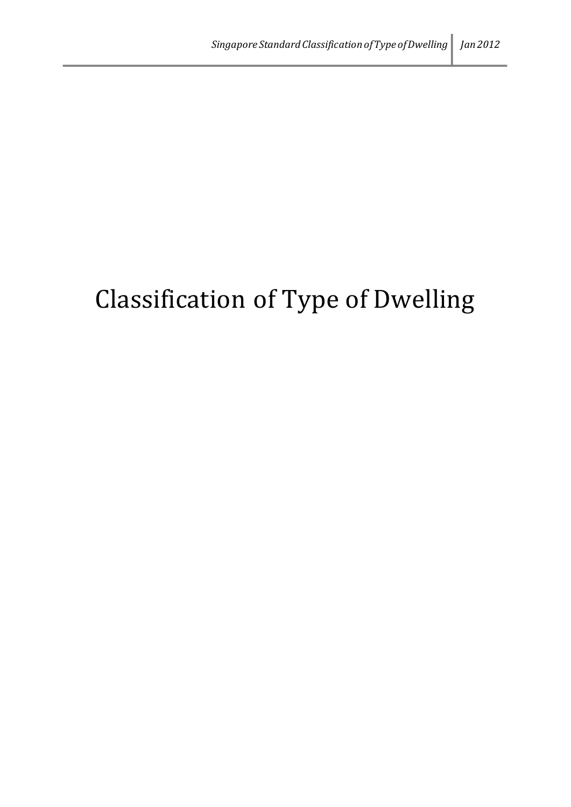# Classification of Type of Dwelling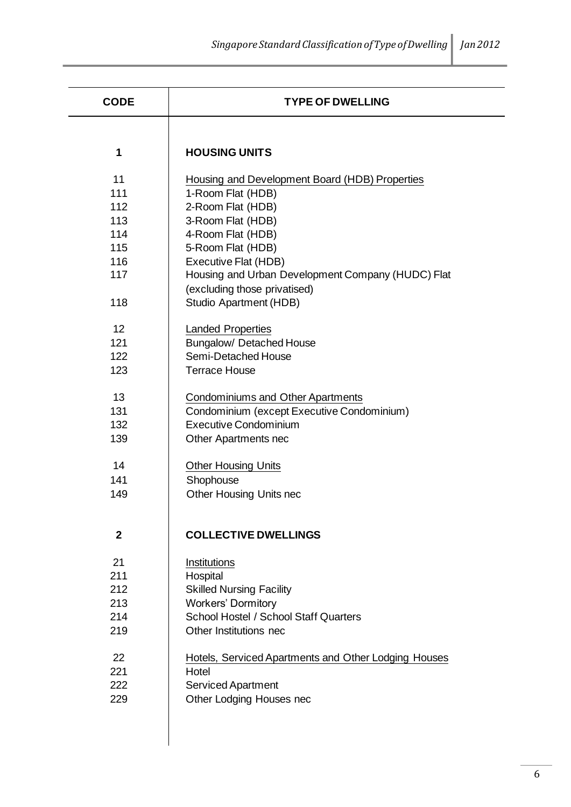| <b>CODE</b>  | <b>TYPE OF DWELLING</b>                              |
|--------------|------------------------------------------------------|
|              |                                                      |
| 1            | <b>HOUSING UNITS</b>                                 |
| 11           | Housing and Development Board (HDB) Properties       |
| 111          | 1-Room Flat (HDB)                                    |
| 112          | 2-Room Flat (HDB)                                    |
| 113          | 3-Room Flat (HDB)                                    |
| 114          | 4-Room Flat (HDB)                                    |
| 115          | 5-Room Flat (HDB)                                    |
| 116          | Executive Flat (HDB)                                 |
| 117          | Housing and Urban Development Company (HUDC) Flat    |
|              | (excluding those privatised)                         |
| 118          | Studio Apartment (HDB)                               |
| 12           | <b>Landed Properties</b>                             |
| 121          | <b>Bungalow/ Detached House</b>                      |
| 122          | Semi-Detached House                                  |
| 123          | <b>Terrace House</b>                                 |
| 13           | <b>Condominiums and Other Apartments</b>             |
| 131          | Condominium (except Executive Condominium)           |
| 132          | <b>Executive Condominium</b>                         |
| 139          | Other Apartments nec                                 |
| 14           | <b>Other Housing Units</b>                           |
| 141          | Shophouse                                            |
| 149          | Other Housing Units nec                              |
|              |                                                      |
| $\mathbf{2}$ | <b>COLLECTIVE DWELLINGS</b>                          |
| 21           | Institutions                                         |
| 211          | Hospital                                             |
| 212          | <b>Skilled Nursing Facility</b>                      |
| 213          | <b>Workers' Dormitory</b>                            |
| 214          | School Hostel / School Staff Quarters                |
| 219          | Other Institutions nec                               |
| 22           | Hotels, Serviced Apartments and Other Lodging Houses |
| 221          | Hotel                                                |
| 222          | <b>Serviced Apartment</b>                            |
| 229          | Other Lodging Houses nec                             |
|              |                                                      |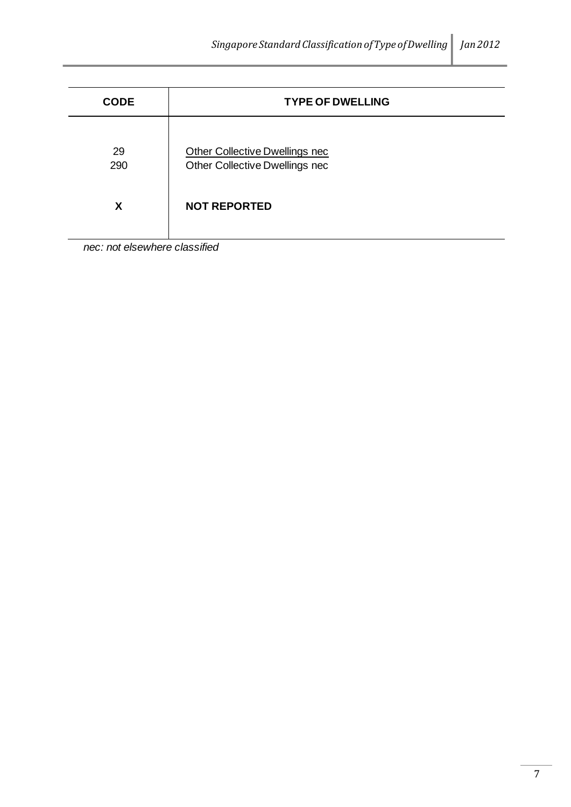| <b>CODE</b> | <b>TYPE OF DWELLING</b>                                          |
|-------------|------------------------------------------------------------------|
| 29<br>290   | Other Collective Dwellings nec<br>Other Collective Dwellings nec |
| X           | <b>NOT REPORTED</b>                                              |

*nec: not elsewhere classified*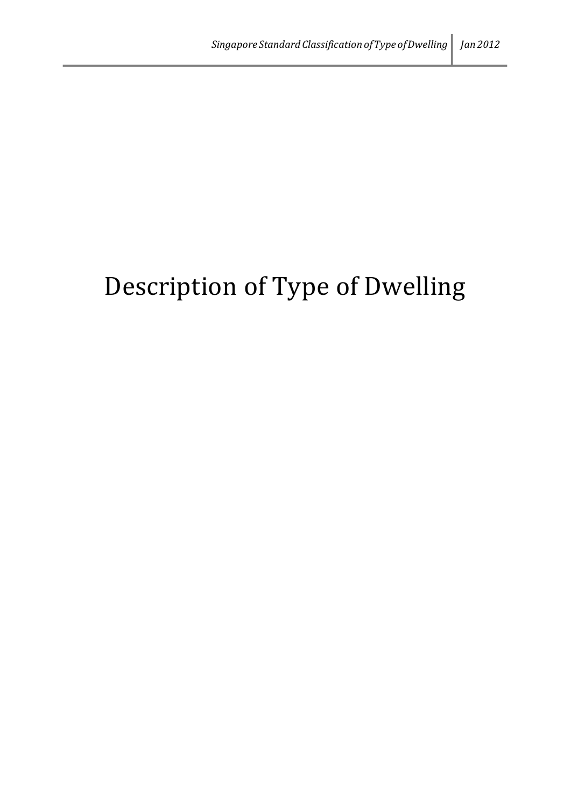# Description of Type of Dwelling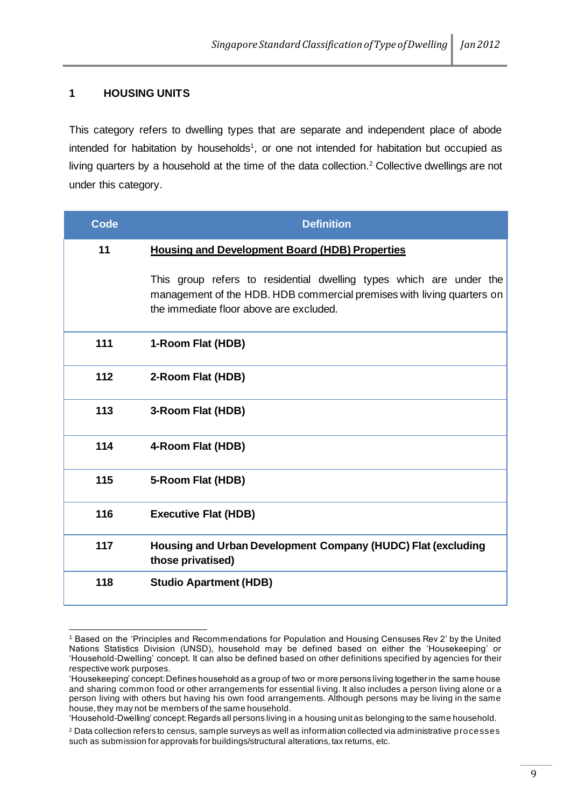## **1 HOUSING UNITS**

This category refers to dwelling types that are separate and independent place of abode intended for habitation by households<sup>1</sup>, or one not intended for habitation but occupied as living quarters by a household at the time of the data collection.<sup>2</sup> Collective dwellings are not under this category.

| <b>Code</b> | <b>Definition</b>                                                                                                                                                                        |
|-------------|------------------------------------------------------------------------------------------------------------------------------------------------------------------------------------------|
| 11          | <b>Housing and Development Board (HDB) Properties</b>                                                                                                                                    |
|             | This group refers to residential dwelling types which are under the<br>management of the HDB. HDB commercial premises with living quarters on<br>the immediate floor above are excluded. |
| 111         | 1-Room Flat (HDB)                                                                                                                                                                        |
| 112         | 2-Room Flat (HDB)                                                                                                                                                                        |
| 113         | 3-Room Flat (HDB)                                                                                                                                                                        |
| 114         | 4-Room Flat (HDB)                                                                                                                                                                        |
| 115         | 5-Room Flat (HDB)                                                                                                                                                                        |
| 116         | <b>Executive Flat (HDB)</b>                                                                                                                                                              |
| 117         | Housing and Urban Development Company (HUDC) Flat (excluding<br>those privatised)                                                                                                        |
| 118         | <b>Studio Apartment (HDB)</b>                                                                                                                                                            |

<sup>1</sup> Based on the 'Principles and Recommendations for Population and Housing Censuses Rev 2' by the United Nations Statistics Division (UNSD), household may be defined based on either the 'Housekeeping' or 'Household-Dwelling' concept. It can also be defined based on other definitions specified by agencies for their respective work purposes.

<sup>&#</sup>x27;Housekeeping' concept: Defines household as a group of two or more persons living together in the same house and sharing common food or other arrangements for essential living. It also includes a person living alone or a person living with others but having his own food arrangements. Although persons may be living in the same house, they may not be members of the same household.

<sup>&#</sup>x27;Household-Dwelling' concept: Regards all persons living in a housing unit as belonging to the same household.

<sup>2</sup> Data collection refers to census, sample surveys as well as information collected via administrative processes such as submission for approvals for buildings/structural alterations, tax returns, etc.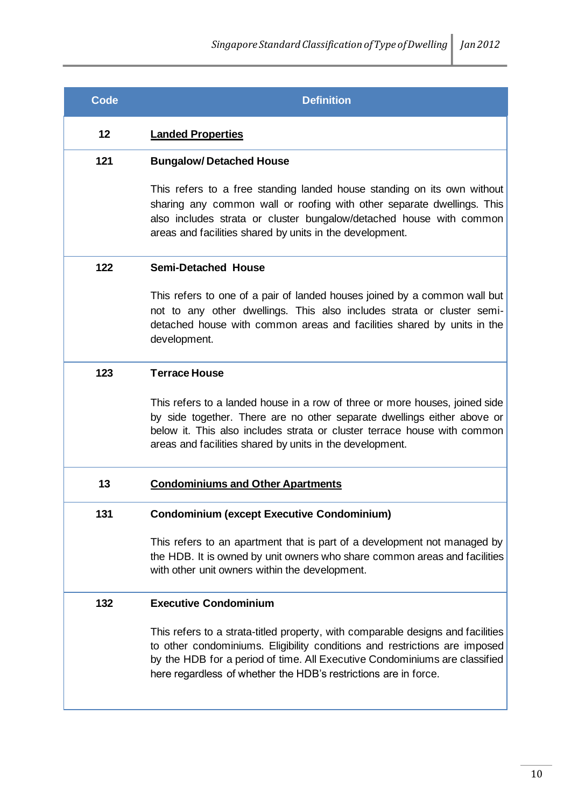| Code | <b>Definition</b>                                                                                                                                                                                                                                                                                              |
|------|----------------------------------------------------------------------------------------------------------------------------------------------------------------------------------------------------------------------------------------------------------------------------------------------------------------|
| 12   | <b>Landed Properties</b>                                                                                                                                                                                                                                                                                       |
| 121  | <b>Bungalow/Detached House</b>                                                                                                                                                                                                                                                                                 |
|      | This refers to a free standing landed house standing on its own without<br>sharing any common wall or roofing with other separate dwellings. This<br>also includes strata or cluster bungalow/detached house with common<br>areas and facilities shared by units in the development.                           |
| 122  | <b>Semi-Detached House</b>                                                                                                                                                                                                                                                                                     |
|      | This refers to one of a pair of landed houses joined by a common wall but<br>not to any other dwellings. This also includes strata or cluster semi-<br>detached house with common areas and facilities shared by units in the<br>development.                                                                  |
| 123  | <b>Terrace House</b>                                                                                                                                                                                                                                                                                           |
|      | This refers to a landed house in a row of three or more houses, joined side<br>by side together. There are no other separate dwellings either above or<br>below it. This also includes strata or cluster terrace house with common<br>areas and facilities shared by units in the development.                 |
| 13   | <b>Condominiums and Other Apartments</b>                                                                                                                                                                                                                                                                       |
| 131  | <b>Condominium (except Executive Condominium)</b>                                                                                                                                                                                                                                                              |
|      | This refers to an apartment that is part of a development not managed by<br>the HDB. It is owned by unit owners who share common areas and facilities<br>with other unit owners within the development.                                                                                                        |
| 132  | <b>Executive Condominium</b>                                                                                                                                                                                                                                                                                   |
|      | This refers to a strata-titled property, with comparable designs and facilities<br>to other condominiums. Eligibility conditions and restrictions are imposed<br>by the HDB for a period of time. All Executive Condominiums are classified<br>here regardless of whether the HDB's restrictions are in force. |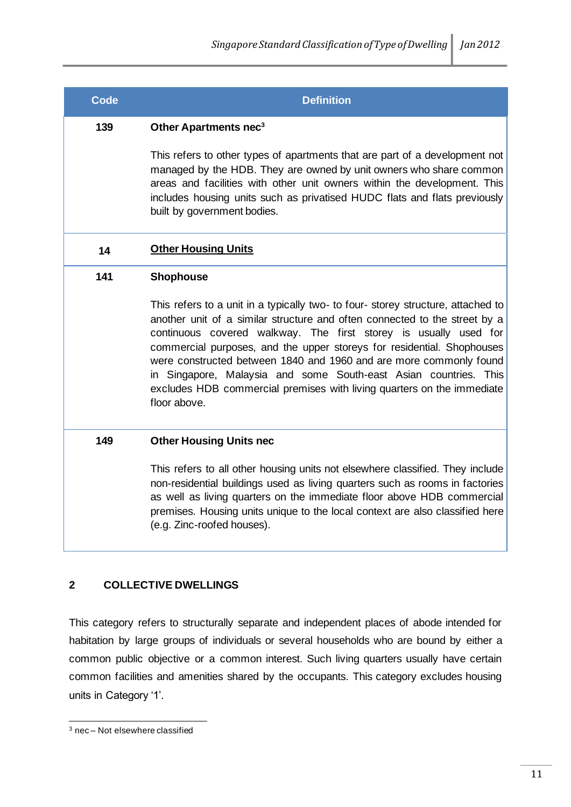## **Code Definition**

## **139 Other Apartments nec<sup>3</sup>**

This refers to other types of apartments that are part of a development not managed by the HDB. They are owned by unit owners who share common areas and facilities with other unit owners within the development. This includes housing units such as privatised HUDC flats and flats previously built by government bodies.

## **14 Other Housing Units**

## **141 Shophouse**

This refers to a unit in a typically two- to four- storey structure, attached to another unit of a similar structure and often connected to the street by a continuous covered walkway. The first storey is usually used for commercial purposes, and the upper storeys for residential. Shophouses were constructed between 1840 and 1960 and are more commonly found in Singapore, Malaysia and some South-east Asian countries. This excludes HDB commercial premises with living quarters on the immediate floor above.

## **149 Other Housing Units nec**

This refers to all other housing units not elsewhere classified. They include non-residential buildings used as living quarters such as rooms in factories as well as living quarters on the immediate floor above HDB commercial premises. Housing units unique to the local context are also classified here (e.g. Zinc-roofed houses).

## **2 COLLECTIVE DWELLINGS**

This category refers to structurally separate and independent places of abode intended for habitation by large groups of individuals or several households who are bound by either a common public objective or a common interest. Such living quarters usually have certain common facilities and amenities shared by the occupants. This category excludes housing units in Category '1'.

<sup>3</sup> nec – Not elsewhere classified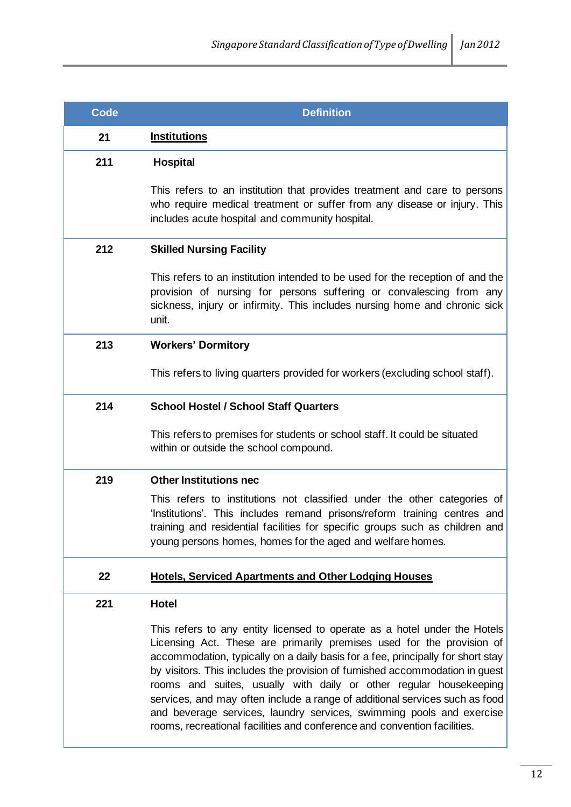| Code | <b>Definition</b>                                                                                                                                                                                                                                                                                                                                                                                                                                                                                                                                                                                                              |
|------|--------------------------------------------------------------------------------------------------------------------------------------------------------------------------------------------------------------------------------------------------------------------------------------------------------------------------------------------------------------------------------------------------------------------------------------------------------------------------------------------------------------------------------------------------------------------------------------------------------------------------------|
| 21   | <b>Institutions</b>                                                                                                                                                                                                                                                                                                                                                                                                                                                                                                                                                                                                            |
| 211  | <b>Hospital</b>                                                                                                                                                                                                                                                                                                                                                                                                                                                                                                                                                                                                                |
|      | This refers to an institution that provides treatment and care to persons<br>who require medical treatment or suffer from any disease or injury. This<br>includes acute hospital and community hospital.                                                                                                                                                                                                                                                                                                                                                                                                                       |
| 212  | <b>Skilled Nursing Facility</b>                                                                                                                                                                                                                                                                                                                                                                                                                                                                                                                                                                                                |
|      | This refers to an institution intended to be used for the reception of and the<br>provision of nursing for persons suffering or convalescing from any<br>sickness, injury or infirmity. This includes nursing home and chronic sick<br>unit.                                                                                                                                                                                                                                                                                                                                                                                   |
| 213  | <b>Workers' Dormitory</b>                                                                                                                                                                                                                                                                                                                                                                                                                                                                                                                                                                                                      |
|      | This refers to living quarters provided for workers (excluding school staff).                                                                                                                                                                                                                                                                                                                                                                                                                                                                                                                                                  |
| 214  | <b>School Hostel / School Staff Quarters</b>                                                                                                                                                                                                                                                                                                                                                                                                                                                                                                                                                                                   |
|      | This refers to premises for students or school staff. It could be situated<br>within or outside the school compound.                                                                                                                                                                                                                                                                                                                                                                                                                                                                                                           |
| 219  | <b>Other Institutions nec</b>                                                                                                                                                                                                                                                                                                                                                                                                                                                                                                                                                                                                  |
|      | This refers to institutions not classified under the other categories of<br>'Institutions'. This includes remand prisons/reform training centres and<br>training and residential facilities for specific groups such as children and<br>young persons homes, homes for the aged and welfare homes.                                                                                                                                                                                                                                                                                                                             |
| 22   | <b>Hotels, Serviced Apartments and Other Lodging Houses</b>                                                                                                                                                                                                                                                                                                                                                                                                                                                                                                                                                                    |
| 221  | <b>Hotel</b>                                                                                                                                                                                                                                                                                                                                                                                                                                                                                                                                                                                                                   |
|      | This refers to any entity licensed to operate as a hotel under the Hotels<br>Licensing Act. These are primarily premises used for the provision of<br>accommodation, typically on a daily basis for a fee, principally for short stay<br>by visitors. This includes the provision of furnished accommodation in guest<br>rooms and suites, usually with daily or other regular housekeeping<br>services, and may often include a range of additional services such as food<br>and beverage services, laundry services, swimming pools and exercise<br>rooms, recreational facilities and conference and convention facilities. |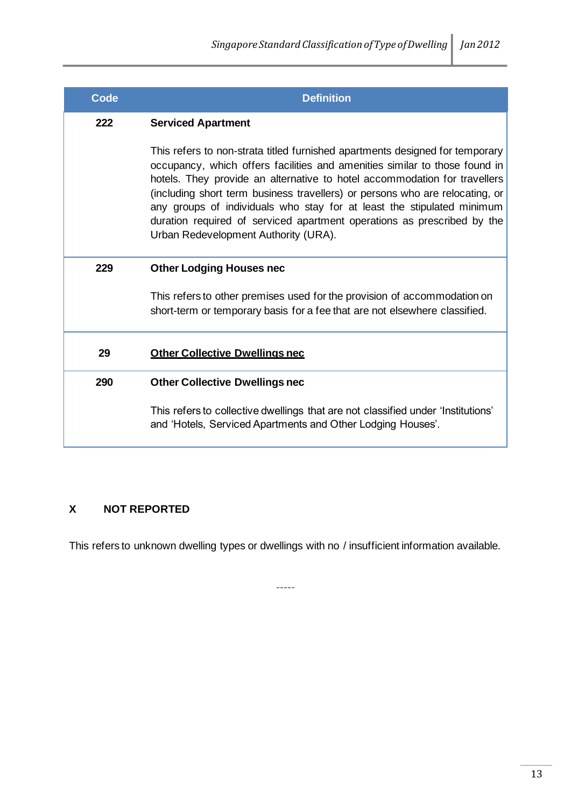| <b>Code</b> | <b>Definition</b>                                                                                                                                                                                                                                                                                                                                                                                                                                                                                                    |
|-------------|----------------------------------------------------------------------------------------------------------------------------------------------------------------------------------------------------------------------------------------------------------------------------------------------------------------------------------------------------------------------------------------------------------------------------------------------------------------------------------------------------------------------|
| 222         | <b>Serviced Apartment</b>                                                                                                                                                                                                                                                                                                                                                                                                                                                                                            |
|             | This refers to non-strata titled furnished apartments designed for temporary<br>occupancy, which offers facilities and amenities similar to those found in<br>hotels. They provide an alternative to hotel accommodation for travellers<br>(including short term business travellers) or persons who are relocating, or<br>any groups of individuals who stay for at least the stipulated minimum<br>duration required of serviced apartment operations as prescribed by the<br>Urban Redevelopment Authority (URA). |
| 229         | <b>Other Lodging Houses nec</b>                                                                                                                                                                                                                                                                                                                                                                                                                                                                                      |
|             | This refers to other premises used for the provision of accommodation on<br>short-term or temporary basis for a fee that are not elsewhere classified.                                                                                                                                                                                                                                                                                                                                                               |
| 29          | <b>Other Collective Dwellings nec</b>                                                                                                                                                                                                                                                                                                                                                                                                                                                                                |
| 290         | <b>Other Collective Dwellings nec</b>                                                                                                                                                                                                                                                                                                                                                                                                                                                                                |
|             | This refers to collective dwellings that are not classified under 'Institutions'<br>and 'Hotels, Serviced Apartments and Other Lodging Houses'.                                                                                                                                                                                                                                                                                                                                                                      |

## **X NOT REPORTED**

This refers to unknown dwelling types or dwellings with no / insufficient information available.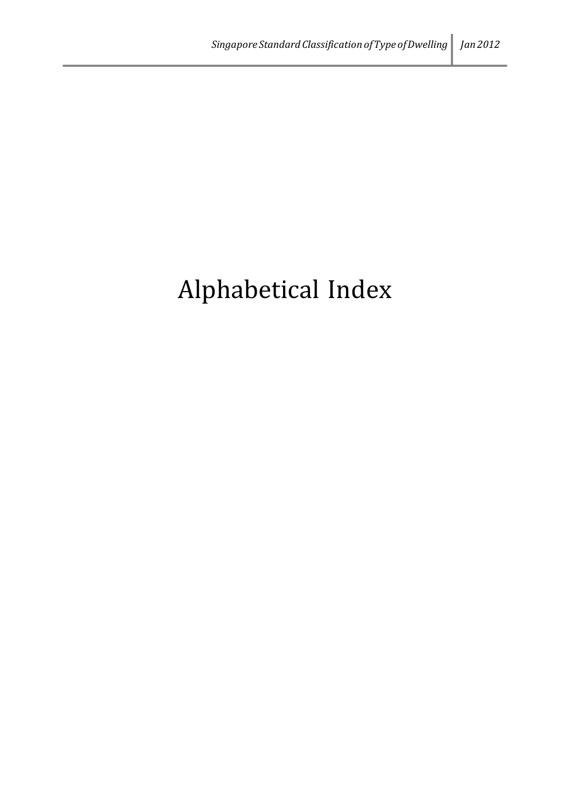# Alphabetical Index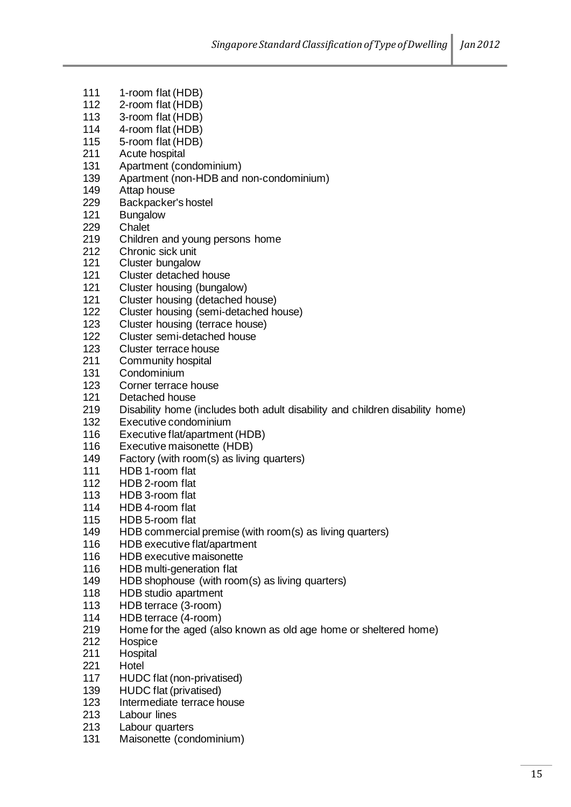- 1-room flat (HDB)
- 2-room flat (HDB)
- 3-room flat (HDB)
- 4-room flat (HDB)
- 5-room flat (HDB)
- 211 Acute hospital<br>131 Apartment (cor
- Apartment (condominium)
- Apartment (non-HDB and non-condominium)
- Attap house
- 229 Backpacker's hostel<br>121 Bungalow
- **Bungalow**
- Chalet
- Children and young persons home
- 212 Chronic sick unit<br>121 Cluster bungalow
- Cluster bungalow
- Cluster detached house
- Cluster housing (bungalow)
- 121 Cluster housing (detached house)<br>122 Cluster housing (semi-detached ho
- Cluster housing (semi-detached house)
- Cluster housing (terrace house)
- Cluster semi-detached house
- Cluster terrace house
- 211 Community hospital<br>131 Condominium
- Condominium
- 123 Corner terrace house<br>121 Detached house
- Detached house
- Disability home (includes both adult disability and children disability home)
- Executive condominium
- Executive flat/apartment (HDB)
- Executive maisonette (HDB)
- Factory (with room(s) as living quarters)
- HDB 1-room flat
- HDB 2-room flat
- HDB 3-room flat
- HDB 4-room flat
- HDB 5-room flat
- HDB commercial premise (with room(s) as living quarters)
- HDB executive flat/apartment
- HDB executive maisonette
- HDB multi-generation flat
- HDB shophouse (with room(s) as living quarters)
- HDB studio apartment
- HDB terrace (3-room)
- HDB terrace (4-room)
- Home for the aged (also known as old age home or sheltered home)
- Hospice
- Hospital
- Hotel
- HUDC flat (non-privatised)
- HUDC flat (privatised)
- Intermediate terrace house
- Labour lines
- Labour quarters
- Maisonette (condominium)